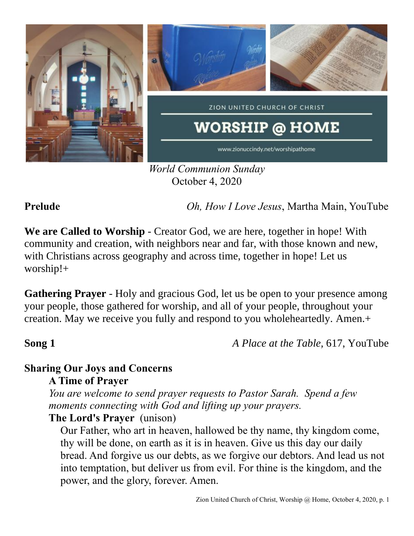

*World Communion Sunday* October 4, 2020

**Prelude** *Oh, How I Love Jesus*, Martha Main, YouTube

**We are Called to Worship** - Creator God, we are here, together in hope! With community and creation, with neighbors near and far, with those known and new, with Christians across geography and across time, together in hope! Let us worship!+

**Gathering Prayer** - Holy and gracious God, let us be open to your presence among your people, those gathered for worship, and all of your people, throughout your creation. May we receive you fully and respond to you wholeheartedly. Amen.+

**Song 1** *A Place at the Table,* 617, YouTube

# **Sharing Our Joys and Concerns**

**A Time of Prayer**

*You are welcome to send prayer requests to Pastor Sarah. Spend a few moments connecting with God and lifting up your prayers.*

## **The Lord's Prayer** (unison)

Our Father, who art in heaven, hallowed be thy name, thy kingdom come, thy will be done, on earth as it is in heaven. Give us this day our daily bread. And forgive us our debts, as we forgive our debtors. And lead us not into temptation, but deliver us from evil. For thine is the kingdom, and the power, and the glory, forever. Amen.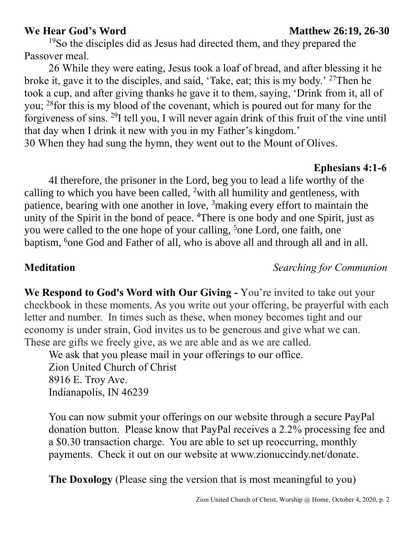<sup>19</sup>So the disciples did as Jesus had directed them, and they prepared the Passover meal.

26 While they were eating, Jesus took a loaf of bread, and after blessing it he broke it, gave it to the disciples, and said, 'Take, eat; this is my body.' <sup>27</sup>Then he took a cup, and after giving thanks he gave it to them, saying, 'Drink from it, all of you; <sup>28</sup> for this is my blood of the covenant, which is poured out for many for the forgiveness of sins. <sup>29</sup>I tell you, I will never again drink of this fruit of the vine until that day when I drink it new with you in my Father's kingdom.' 30 When they had sung the hymn, they went out to the Mount of Olives.

### **Ephesians 4:1-6**

4I therefore, the prisoner in the Lord, beg you to lead a life worthy of the calling to which you have been called, <sup>2</sup>with all humility and gentleness, with patience, bearing with one another in love, <sup>3</sup>making every effort to maintain the unity of the Spirit in the bond of peace. <sup>4</sup>There is one body and one Spirit, just as you were called to the one hope of your calling, <sup>5</sup>one Lord, one faith, one baptism, <sup>6</sup>one God and Father of all, who is above all and through all and in all.

### **Meditation** *Searching for Communion*

**We Respond to God's Word with Our Giving -** You're invited to take out your checkbook in these moments. As you write out your offering, be prayerful with each letter and number. In times such as these, when money becomes tight and our economy is under strain, God invites us to be generous and give what we can. These are gifts we freely give, as we are able and as we are called.

We ask that you please mail in your offerings to our office. Zion United Church of Christ 8916 E. Troy Ave. Indianapolis, IN 46239

You can now submit your offerings on our website through a secure PayPal donation button. Please know that PayPal receives a 2.2% processing fee and a \$0.30 transaction charge. You are able to set up reoccurring, monthly payments. Check it out on our website at www.zionuccindy.net/donate.

**The Doxology** (Please sing the version that is most meaningful to you)

### **We Hear God's Word Matthew 26:19, 26-30**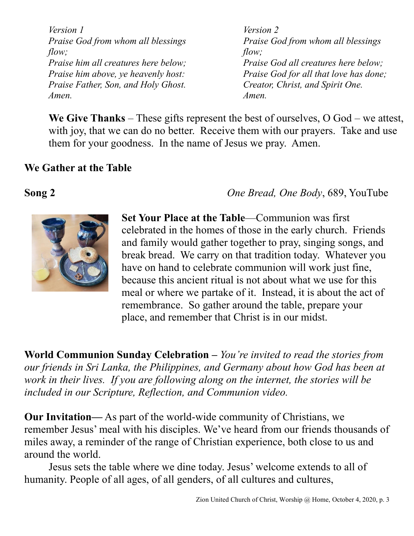*Version 1 Praise God from whom all blessings flow; Praise him all creatures here below; Praise him above, ye heavenly host: Praise Father, Son, and Holy Ghost. Amen.*

*Version 2 Praise God from whom all blessings flow; Praise God all creatures here below; Praise God for all that love has done; Creator, Christ, and Spirit One. Amen.* 

**We Give Thanks** – These gifts represent the best of ourselves, O God – we attest, with joy, that we can do no better. Receive them with our prayers. Take and use them for your goodness. In the name of Jesus we pray. Amen.

### **We Gather at the Table**

**Song 2** *One Bread, One Body*, 689, YouTube



**Set Your Place at the Table**—Communion was first celebrated in the homes of those in the early church. Friends and family would gather together to pray, singing songs, and break bread. We carry on that tradition today. Whatever you have on hand to celebrate communion will work just fine, because this ancient ritual is not about what we use for this meal or where we partake of it. Instead, it is about the act of remembrance. So gather around the table, prepare your place, and remember that Christ is in our midst.

**World Communion Sunday Celebration –** *You're invited to read the stories from our friends in Sri Lanka, the Philippines, and Germany about how God has been at work in their lives. If you are following along on the internet, the stories will be included in our Scripture, Reflection, and Communion video.*

**Our Invitation—** As part of the world-wide community of Christians, we remember Jesus' meal with his disciples. We've heard from our friends thousands of miles away, a reminder of the range of Christian experience, both close to us and around the world.

Jesus sets the table where we dine today. Jesus' welcome extends to all of humanity. People of all ages, of all genders, of all cultures and cultures,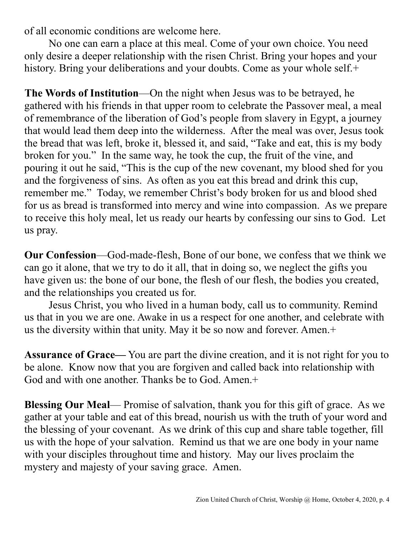of all economic conditions are welcome here.

No one can earn a place at this meal. Come of your own choice. You need only desire a deeper relationship with the risen Christ. Bring your hopes and your history. Bring your deliberations and your doubts. Come as your whole self.+

**The Words of Institution**—On the night when Jesus was to be betrayed, he gathered with his friends in that upper room to celebrate the Passover meal, a meal of remembrance of the liberation of God's people from slavery in Egypt, a journey that would lead them deep into the wilderness. After the meal was over, Jesus took the bread that was left, broke it, blessed it, and said, "Take and eat, this is my body broken for you." In the same way, he took the cup, the fruit of the vine, and pouring it out he said, "This is the cup of the new covenant, my blood shed for you and the forgiveness of sins. As often as you eat this bread and drink this cup, remember me." Today, we remember Christ's body broken for us and blood shed for us as bread is transformed into mercy and wine into compassion. As we prepare to receive this holy meal, let us ready our hearts by confessing our sins to God. Let us pray.

**Our Confession**—God-made-flesh, Bone of our bone, we confess that we think we can go it alone, that we try to do it all, that in doing so, we neglect the gifts you have given us: the bone of our bone, the flesh of our flesh, the bodies you created, and the relationships you created us for.

Jesus Christ, you who lived in a human body, call us to community. Remind us that in you we are one. Awake in us a respect for one another, and celebrate with us the diversity within that unity. May it be so now and forever. Amen.+

**Assurance of Grace—** You are part the divine creation, and it is not right for you to be alone. Know now that you are forgiven and called back into relationship with God and with one another. Thanks be to God. Amen.+

**Blessing Our Meal**— Promise of salvation, thank you for this gift of grace. As we gather at your table and eat of this bread, nourish us with the truth of your word and the blessing of your covenant. As we drink of this cup and share table together, fill us with the hope of your salvation. Remind us that we are one body in your name with your disciples throughout time and history. May our lives proclaim the mystery and majesty of your saving grace. Amen.